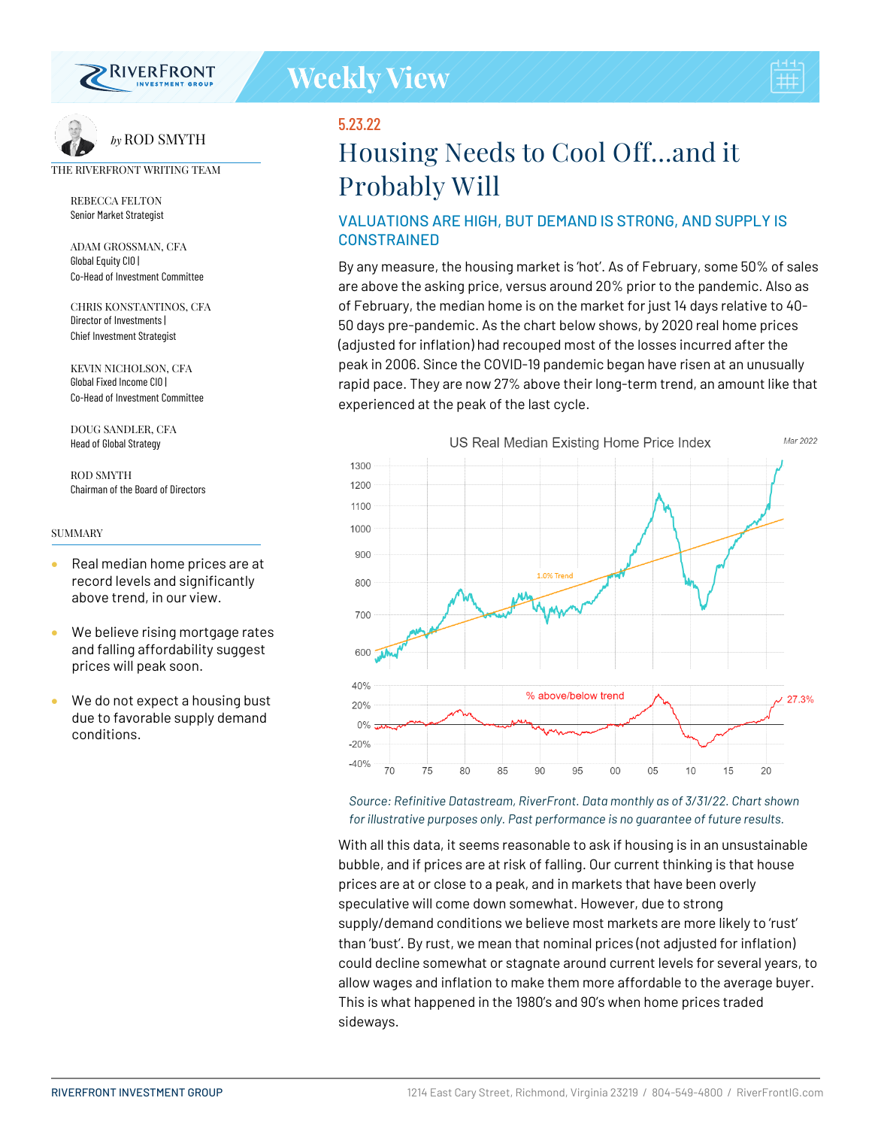

# 5.23.22

# **Housing Needs to Cool Off…and it Probably Will**

# VALUATIONS ARE HIGH, BUT DEMAND IS STRONG, AND SUPPLY IS CONSTRAINED

By any measure, the housing market is 'hot'. As of February, some 50% of sales are above the asking price, versus around 20% prior to the pandemic. Also as of February, the median home is on the market for just 14 days relative to 40- 50 days pre-pandemic. As the chart below shows, by 2020 real home prices (adjusted for inflation) had recouped most of the losses incurred after the peak in 2006. Since the COVID-19 pandemic began have risen at an unusually rapid pace. They are now 27% above their long-term trend, an amount like that experienced at the peak of the last cycle.



#### *Source: Refinitive Datastream, RiverFront. Data monthly as of 3/31/22. Chart shown for illustrative purposes only. Past performance is no guarantee of future results.*

With all this data, it seems reasonable to ask if housing is in an unsustainable bubble, and if prices are at risk of falling. Our current thinking is that house prices are at or close to a peak, and in markets that have been overly speculative will come down somewhat. However, due to strong supply/demand conditions we believe most markets are more likely to 'rust' than 'bust'. By rust, we mean that nominal prices (not adjusted for inflation) could decline somewhat or stagnate around current levels for several years, to allow wages and inflation to make them more affordable to the average buyer. This is what happened in the 1980's and 90's when home prices traded sideways.



*by* ROD SMYTH

#### THE RIVERFRONT WRITING TEAM

REBECCA FELTON Senior Market Strategist

ADAM GROSSMAN, CFA Global Equity CIO | Co-Head of Investment Committee

CHRIS KONSTANTINOS, CFA Director of Investments | Chief Investment Strategist

KEVIN NICHOLSON, CFA Global Fixed Income CIO | Co-Head of Investment Committee

DOUG SANDLER, CFA Head of Global Strategy

ROD SMYTH Chairman of the Board of Directors

#### **SUMMARY**

- Real median home prices are at record levels and significantly above trend, in our view.
- We believe rising mortgage rates and falling affordability suggest prices will peak soon.
- We do not expect a housing bust due to favorable supply demand conditions.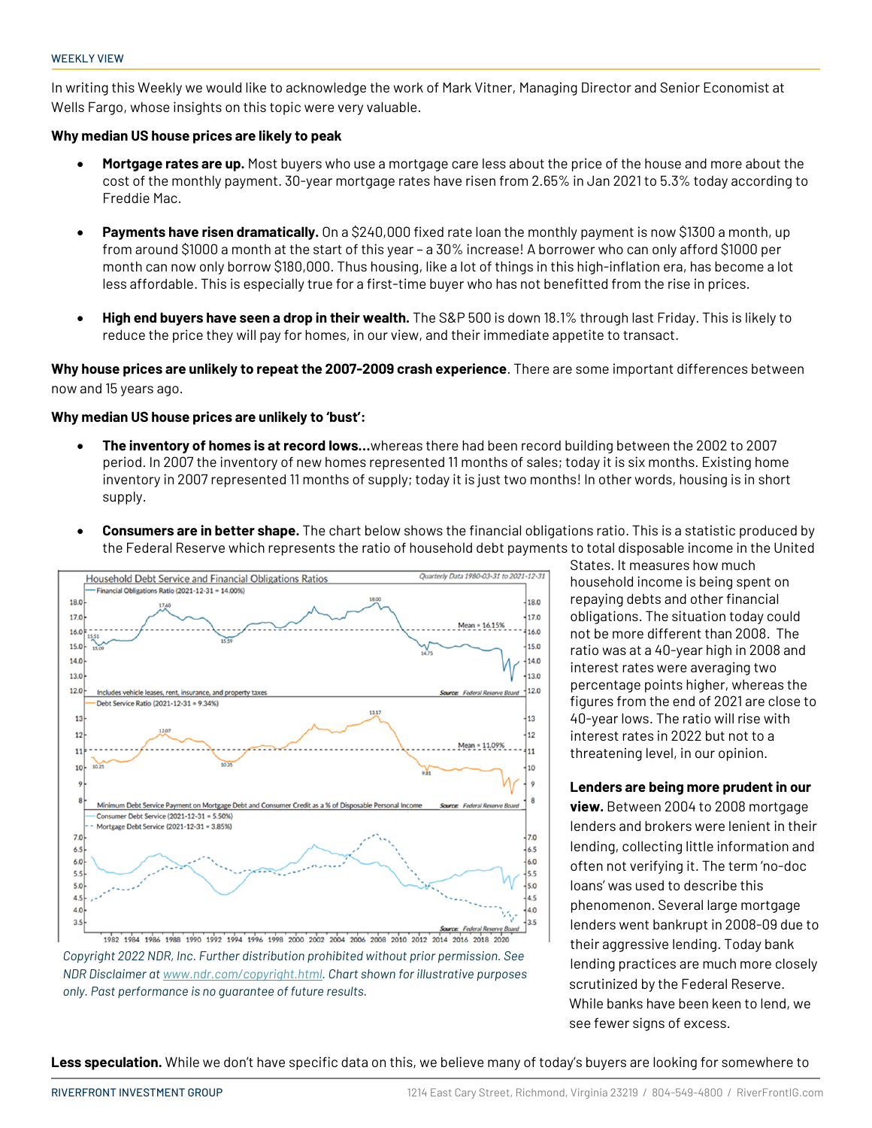In writing this Weekly we would like to acknowledge the work of Mark Vitner, Managing Director and Senior Economist at Wells Fargo, whose insights on this topic were very valuable.

### **Why median US house prices are likely to peak**

- **Mortgage rates are up.** Most buyers who use a mortgage care less about the price of the house and more about the cost of the monthly payment. 30-year mortgage rates have risen from 2.65% in Jan 2021 to 5.3% today according to Freddie Mac.
- **Payments have risen dramatically.** On a \$240,000 fixed rate loan the monthly payment is now \$1300 a month, up from around \$1000 a month at the start of this year – a 30% increase! A borrower who can only afford \$1000 per month can now only borrow \$180,000. Thus housing, like a lot of things in this high-inflation era, has become a lot less affordable. This is especially true for a first-time buyer who has not benefitted from the rise in prices.
- **High end buyers have seen a drop in their wealth.** The S&P 500 is down 18.1% through last Friday. This is likely to reduce the price they will pay for homes, in our view, and their immediate appetite to transact.

**Why house prices are unlikely to repeat the 2007-2009 crash experience**. There are some important differences between now and 15 years ago.

### **Why median US house prices are unlikely to 'bust':**

- **The inventory of homes is at record lows…**whereas there had been record building between the 2002 to 2007 period. In 2007 the inventory of new homes represented 11 months of sales; today it is six months. Existing home inventory in 2007 represented 11 months of supply; today it is just two months! In other words, housing is in short supply.
- **Consumers are in better shape.** The chart below shows the financial obligations ratio. This is a statistic produced by the Federal Reserve which represents the ratio of household debt payments to total disposable income in the United



*Copyright 2022 NDR, Inc. Further distribution prohibited without prior permission. See NDR Disclaimer a[t www.ndr.com/copyright.html.](http://www.ndr.com/copyright.html) Chart shown for illustrative purposes only. Past performance is no guarantee of future results.*

States. It measures how much household income is being spent on repaying debts and other financial obligations. The situation today could not be more different than 2008. The ratio was at a 40-year high in 2008 and interest rates were averaging two percentage points higher, whereas the figures from the end of 2021 are close to 40-year lows. The ratio will rise with interest rates in 2022 but not to a threatening level, in our opinion.

### **Lenders are being more prudent in our**

**view.** Between 2004 to 2008 mortgage lenders and brokers were lenient in their lending, collecting little information and often not verifying it. The term 'no-doc loans' was used to describe this phenomenon. Several large mortgage lenders went bankrupt in 2008-09 due to their aggressive lending. Today bank lending practices are much more closely scrutinized by the Federal Reserve. While banks have been keen to lend, we see fewer signs of excess.

**Less speculation.** While we don't have specific data on this, we believe many of today's buyers are looking for somewhere to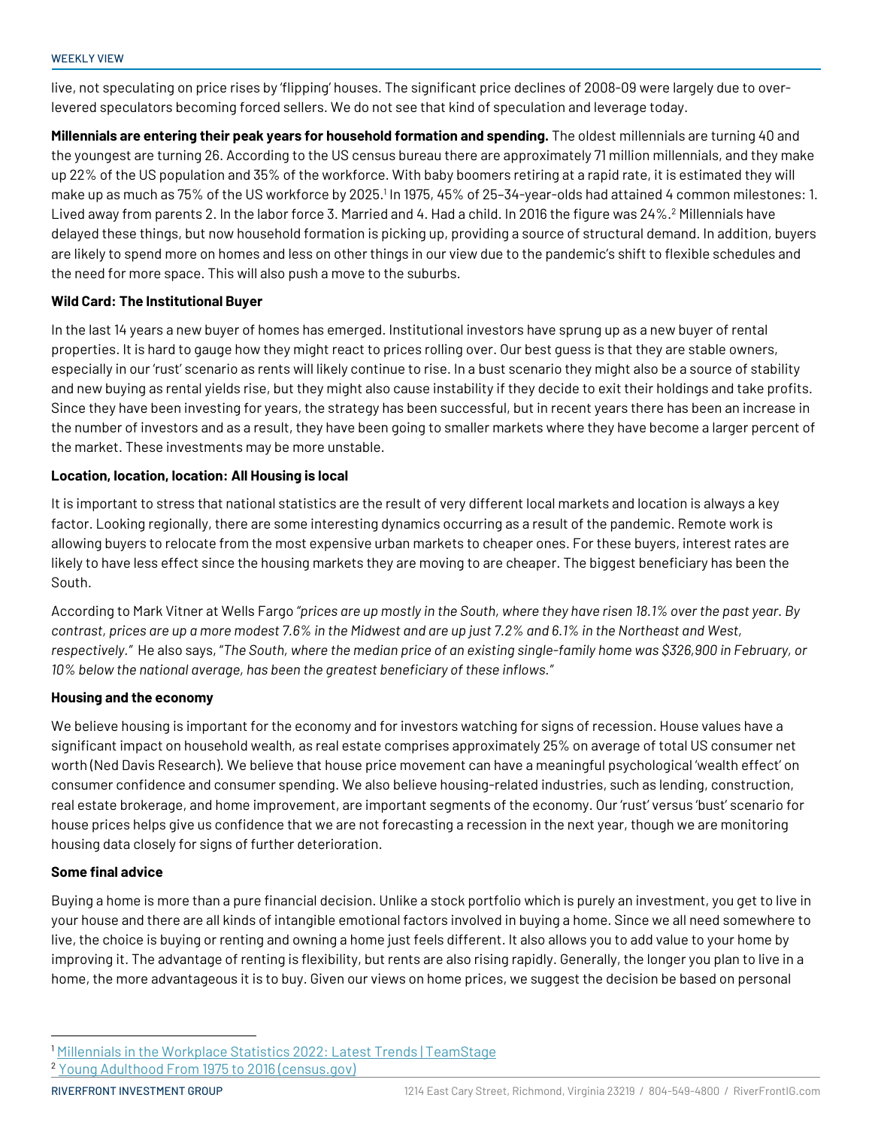live, not speculating on price rises by 'flipping' houses. The significant price declines of 2008-09 were largely due to overlevered speculators becoming forced sellers. We do not see that kind of speculation and leverage today.

**Millennials are entering their peak years for household formation and spending.** The oldest millennials are turning 40 and the youngest are turning 26. According to the US census bureau there are approximately 71 million millennials, and they make up 22% of the US population and 35% of the workforce. With baby boomers retiring at a rapid rate, it is estimated they will make up as much as 75% of the US workforce by 2025. 1 In 1975, 45% of 25–34-year-olds had attained 4 common milestones: 1. Lived away from parents 2. In the labor force 3. Married and 4. Had a child. In 2016 the figure was 24%.<sup>2</sup> Millennials have delayed these things, but now household formation is picking up, providing a source of structural demand. In addition, buyers are likely to spend more on homes and less on other things in our view due to the pandemic's shift to flexible schedules and the need for more space. This will also push a move to the suburbs.

## **Wild Card: The Institutional Buyer**

In the last 14 years a new buyer of homes has emerged. Institutional investors have sprung up as a new buyer of rental properties. It is hard to gauge how they might react to prices rolling over. Our best guess is that they are stable owners, especially in our 'rust' scenario as rents will likely continue to rise. In a bust scenario they might also be a source of stability and new buying as rental yields rise, but they might also cause instability if they decide to exit their holdings and take profits. Since they have been investing for years, the strategy has been successful, but in recent years there has been an increase in the number of investors and as a result, they have been going to smaller markets where they have become a larger percent of the market. These investments may be more unstable.

## **Location, location, location: All Housing is local**

It is important to stress that national statistics are the result of very different local markets and location is always a key factor. Looking regionally, there are some interesting dynamics occurring as a result of the pandemic. Remote work is allowing buyers to relocate from the most expensive urban markets to cheaper ones. For these buyers, interest rates are likely to have less effect since the housing markets they are moving to are cheaper. The biggest beneficiary has been the South.

According to Mark Vitner at Wells Fargo *"prices are up mostly in the South, where they have risen 18.1% over the past year. By contrast, prices are up a more modest 7.6% in the Midwest and are up just 7.2% and 6.1% in the Northeast and West, respectively."* He also says, "*The South, where the median price of an existing single-family home was \$326,900 in February, or 10% below the national average, has been the greatest beneficiary of these inflows."*

### **Housing and the economy**

We believe housing is important for the economy and for investors watching for signs of recession. House values have a significant impact on household wealth, as real estate comprises approximately 25% on average of total US consumer net worth (Ned Davis Research). We believe that house price movement can have a meaningful psychological 'wealth effect' on consumer confidence and consumer spending. We also believe housing-related industries, such as lending, construction, real estate brokerage, and home improvement, are important segments of the economy. Our 'rust' versus 'bust' scenario for house prices helps give us confidence that we are not forecasting a recession in the next year, though we are monitoring housing data closely for signs of further deterioration.

### **Some final advice**

Buying a home is more than a pure financial decision. Unlike a stock portfolio which is purely an investment, you get to live in your house and there are all kinds of intangible emotional factors involved in buying a home. Since we all need somewhere to live, the choice is buying or renting and owning a home just feels different. It also allows you to add value to your home by improving it. The advantage of renting is flexibility, but rents are also rising rapidly. Generally, the longer you plan to live in a home, the more advantageous it is to buy. Given our views on home prices, we suggest the decision be based on personal

<sup>1</sup> [Millennials in the Workplace Statistics 2022: Latest Trends | TeamStage](https://teamstage.io/millennials-in-the-workplace-statistics/)

<sup>2</sup> [Young Adulthood From 1975 to 2016 \(census.gov\)](https://www.census.gov/newsroom/press-releases/2017/cb17-tps36-young-adulthood.html)